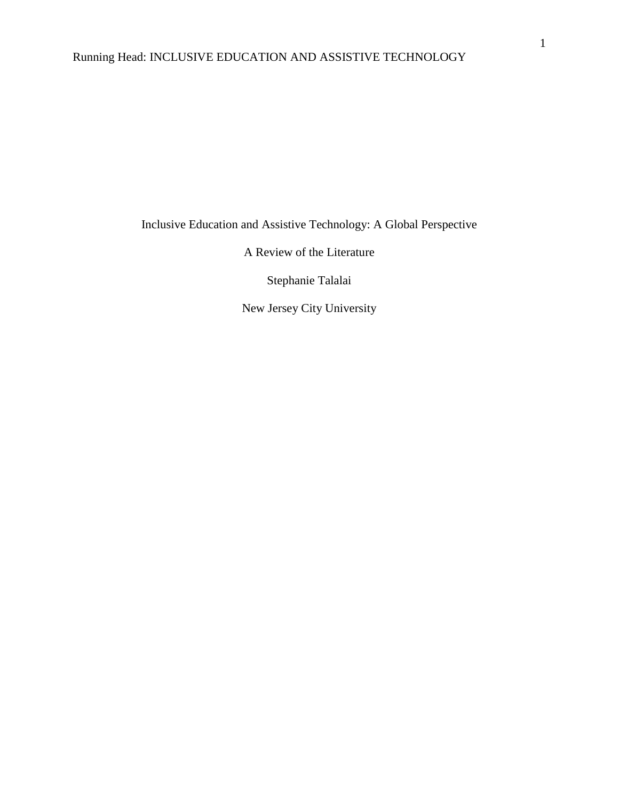# Running Head: INCLUSIVE EDUCATION AND ASSISTIVE TECHNOLOGY

Inclusive Education and Assistive Technology: A Global Perspective

A Review of the Literature

Stephanie Talalai

New Jersey City University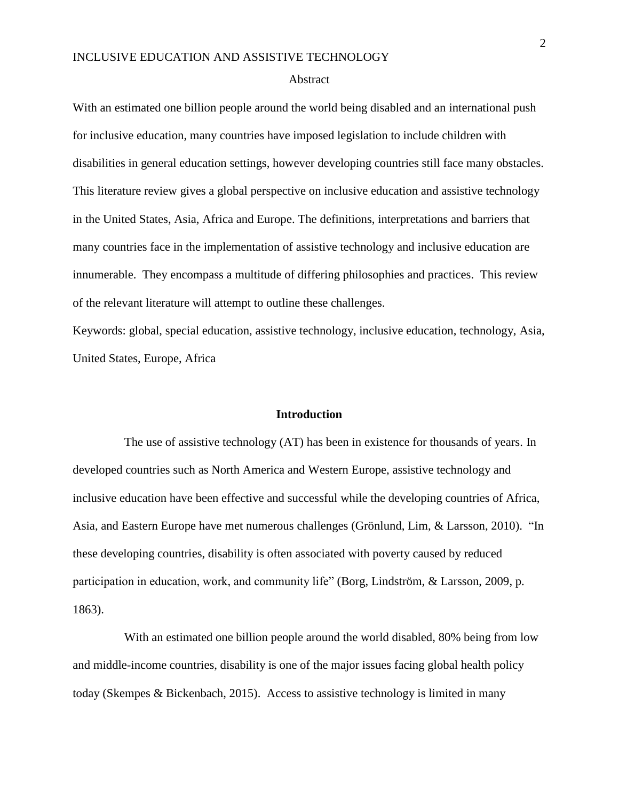#### Abstract

With an estimated one billion people around the world being disabled and an international push for inclusive education, many countries have imposed legislation to include children with disabilities in general education settings, however developing countries still face many obstacles. This literature review gives a global perspective on inclusive education and assistive technology in the United States, Asia, Africa and Europe. The definitions, interpretations and barriers that many countries face in the implementation of assistive technology and inclusive education are innumerable. They encompass a multitude of differing philosophies and practices. This review of the relevant literature will attempt to outline these challenges.

Keywords: global, special education, assistive technology, inclusive education, technology, Asia, United States, Europe, Africa

#### **Introduction**

The use of assistive technology (AT) has been in existence for thousands of years. In developed countries such as North America and Western Europe, assistive technology and inclusive education have been effective and successful while the developing countries of Africa, Asia, and Eastern Europe have met numerous challenges (Grönlund, Lim, & Larsson, 2010). "In these developing countries, disability is often associated with poverty caused by reduced participation in education, work, and community life" (Borg, Lindström, & Larsson, 2009, p. 1863).

 With an estimated one billion people around the world disabled, 80% being from low and middle-income countries, disability is one of the major issues facing global health policy today (Skempes & Bickenbach, 2015). Access to assistive technology is limited in many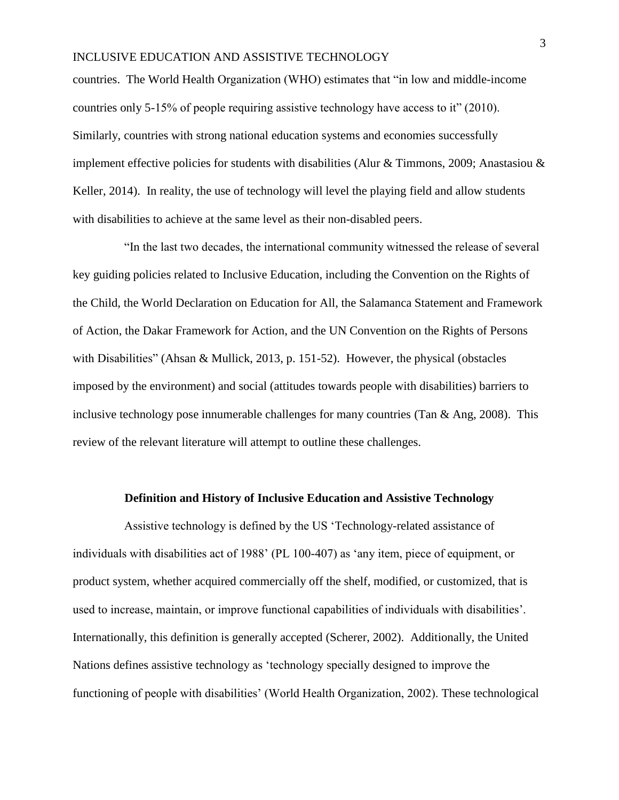countries. The World Health Organization (WHO) estimates that "in low and middle-income countries only 5-15% of people requiring assistive technology have access to it" (2010). Similarly, countries with strong national education systems and economies successfully implement effective policies for students with disabilities (Alur & Timmons, 2009; Anastasiou  $\&$ Keller, 2014). In reality, the use of technology will level the playing field and allow students with disabilities to achieve at the same level as their non-disabled peers.

 "In the last two decades, the international community witnessed the release of several key guiding policies related to Inclusive Education, including the Convention on the Rights of the Child, the World Declaration on Education for All, the Salamanca Statement and Framework of Action, the Dakar Framework for Action, and the UN Convention on the Rights of Persons with Disabilities" (Ahsan & Mullick, 2013, p. 151-52). However, the physical (obstacles imposed by the environment) and social (attitudes towards people with disabilities) barriers to inclusive technology pose innumerable challenges for many countries (Tan  $\&$  Ang, 2008). This review of the relevant literature will attempt to outline these challenges.

#### **Definition and History of Inclusive Education and Assistive Technology**

 Assistive technology is defined by the US 'Technology-related assistance of individuals with disabilities act of 1988' (PL 100-407) as 'any item, piece of equipment, or product system, whether acquired commercially off the shelf, modified, or customized, that is used to increase, maintain, or improve functional capabilities of individuals with disabilities'. Internationally, this definition is generally accepted (Scherer, 2002). Additionally, the United Nations defines assistive technology as 'technology specially designed to improve the functioning of people with disabilities' (World Health Organization, 2002). These technological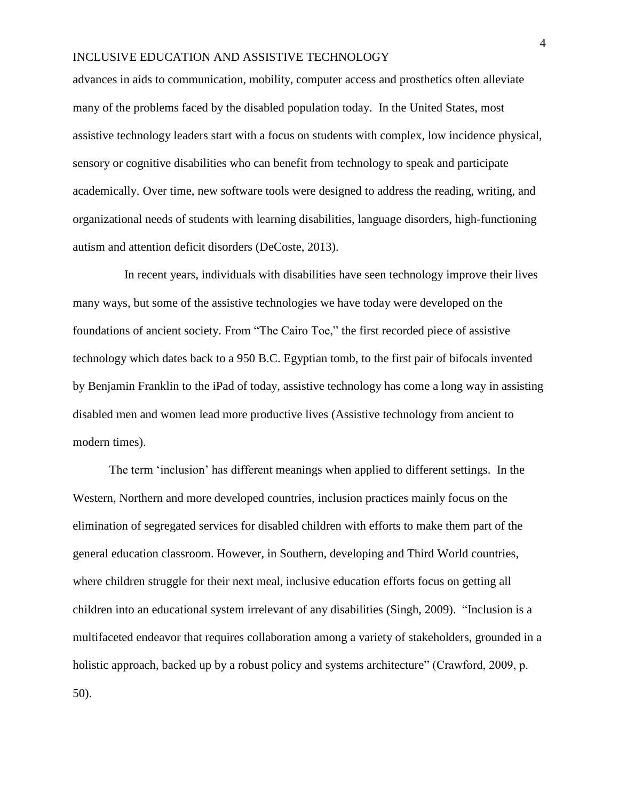advances in aids to communication, mobility, computer access and prosthetics often alleviate many of the problems faced by the disabled population today. In the United States, most assistive technology leaders start with a focus on students with complex, low incidence physical, sensory or cognitive disabilities who can benefit from technology to speak and participate academically. Over time, new software tools were designed to address the reading, writing, and organizational needs of students with learning disabilities, language disorders, high-functioning autism and attention deficit disorders (DeCoste, 2013).

 In recent years, individuals with disabilities have seen technology improve their lives many ways, but some of the assistive technologies we have today were developed on the foundations of ancient society. From "The Cairo Toe," the first recorded piece of assistive technology which dates back to a 950 B.C. Egyptian tomb, to the first pair of bifocals invented by Benjamin Franklin to the iPad of today, assistive technology has come a long way in assisting disabled men and women lead more productive lives (Assistive technology from ancient to modern times).

The term 'inclusion' has different meanings when applied to different settings. In the Western, Northern and more developed countries, inclusion practices mainly focus on the elimination of segregated services for disabled children with efforts to make them part of the general education classroom. However, in Southern, developing and Third World countries, where children struggle for their next meal, inclusive education efforts focus on getting all children into an educational system irrelevant of any disabilities (Singh, 2009). "Inclusion is a multifaceted endeavor that requires collaboration among a variety of stakeholders, grounded in a holistic approach, backed up by a robust policy and systems architecture" (Crawford, 2009, p. 50).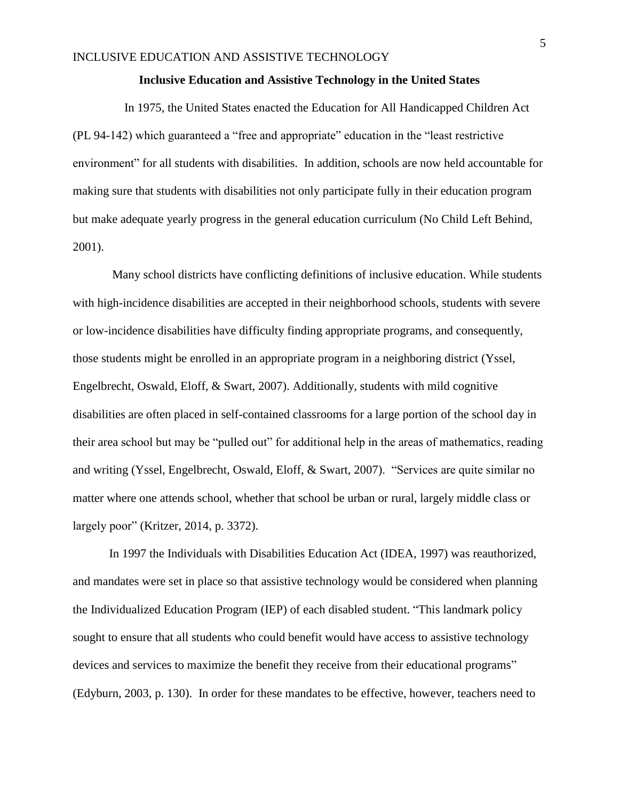#### **Inclusive Education and Assistive Technology in the United States**

 In 1975, the United States enacted the Education for All Handicapped Children Act (PL 94-142) which guaranteed a "free and appropriate" education in the "least restrictive environment" for all students with disabilities. In addition, schools are now held accountable for making sure that students with disabilities not only participate fully in their education program but make adequate yearly progress in the general education curriculum (No Child Left Behind, 2001).

Many school districts have conflicting definitions of inclusive education. While students with high-incidence disabilities are accepted in their neighborhood schools, students with severe or low-incidence disabilities have difficulty finding appropriate programs, and consequently, those students might be enrolled in an appropriate program in a neighboring district (Yssel, Engelbrecht, Oswald, Eloff, & Swart, 2007). Additionally, students with mild cognitive disabilities are often placed in self-contained classrooms for a large portion of the school day in their area school but may be "pulled out" for additional help in the areas of mathematics, reading and writing (Yssel, Engelbrecht, Oswald, Eloff, & Swart, 2007). "Services are quite similar no matter where one attends school, whether that school be urban or rural, largely middle class or largely poor" (Kritzer, 2014, p. 3372).

In 1997 the Individuals with Disabilities Education Act (IDEA, 1997) was reauthorized, and mandates were set in place so that assistive technology would be considered when planning the Individualized Education Program (IEP) of each disabled student. "This landmark policy sought to ensure that all students who could benefit would have access to assistive technology devices and services to maximize the benefit they receive from their educational programs" (Edyburn, 2003, p. 130). In order for these mandates to be effective, however, teachers need to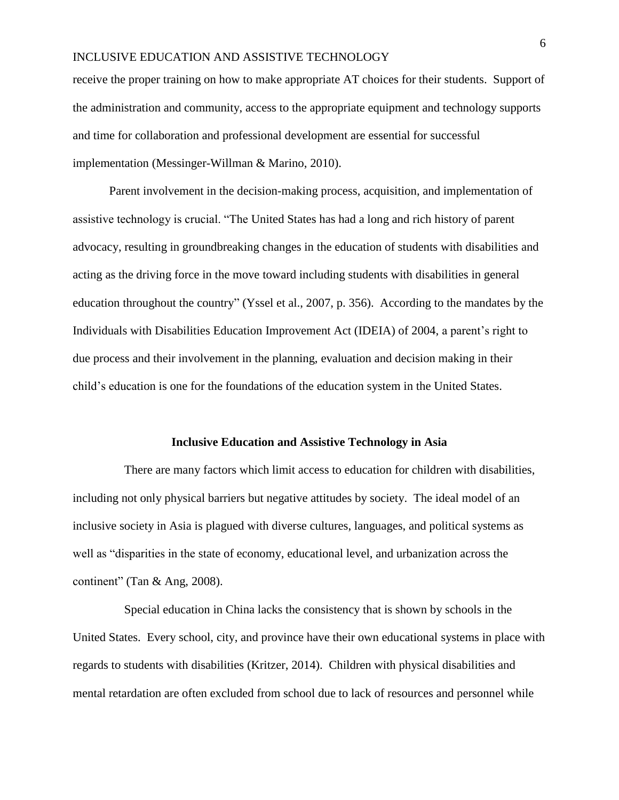receive the proper training on how to make appropriate AT choices for their students. Support of the administration and community, access to the appropriate equipment and technology supports and time for collaboration and professional development are essential for successful implementation (Messinger-Willman & Marino, 2010).

Parent involvement in the decision-making process, acquisition, and implementation of assistive technology is crucial. "The United States has had a long and rich history of parent advocacy, resulting in groundbreaking changes in the education of students with disabilities and acting as the driving force in the move toward including students with disabilities in general education throughout the country" (Yssel et al., 2007, p. 356). According to the mandates by the Individuals with Disabilities Education Improvement Act (IDEIA) of 2004, a parent's right to due process and their involvement in the planning, evaluation and decision making in their child's education is one for the foundations of the education system in the United States.

#### **Inclusive Education and Assistive Technology in Asia**

 There are many factors which limit access to education for children with disabilities, including not only physical barriers but negative attitudes by society. The ideal model of an inclusive society in Asia is plagued with diverse cultures, languages, and political systems as well as "disparities in the state of economy, educational level, and urbanization across the continent" (Tan & Ang, 2008).

 Special education in China lacks the consistency that is shown by schools in the United States. Every school, city, and province have their own educational systems in place with regards to students with disabilities (Kritzer, 2014). Children with physical disabilities and mental retardation are often excluded from school due to lack of resources and personnel while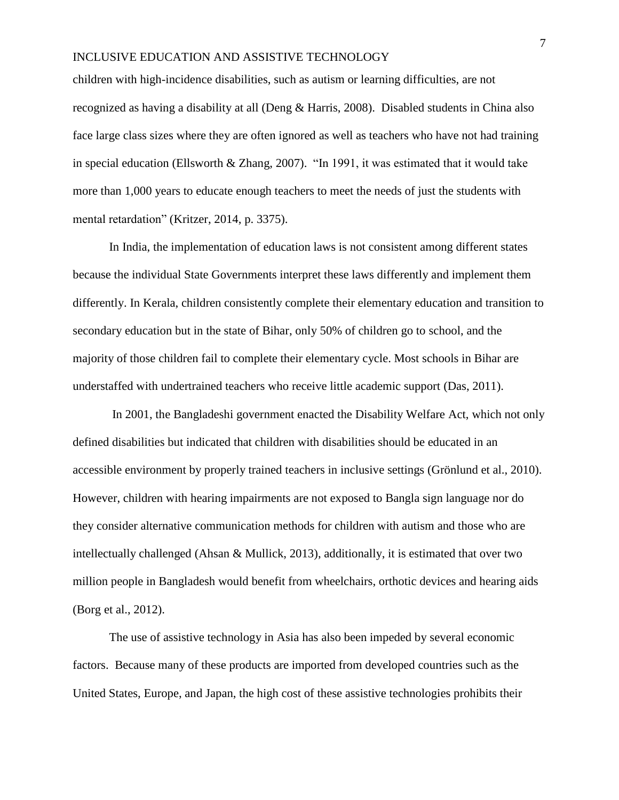children with high-incidence disabilities, such as autism or learning difficulties, are not recognized as having a disability at all (Deng & Harris, 2008). Disabled students in China also face large class sizes where they are often ignored as well as teachers who have not had training in special education (Ellsworth & Zhang, 2007). "In 1991, it was estimated that it would take more than 1,000 years to educate enough teachers to meet the needs of just the students with mental retardation" (Kritzer, 2014, p. 3375).

In India, the implementation of education laws is not consistent among different states because the individual State Governments interpret these laws differently and implement them differently. In Kerala, children consistently complete their elementary education and transition to secondary education but in the state of Bihar, only 50% of children go to school, and the majority of those children fail to complete their elementary cycle. Most schools in Bihar are understaffed with undertrained teachers who receive little academic support (Das, 2011).

In 2001, the Bangladeshi government enacted the Disability Welfare Act, which not only defined disabilities but indicated that children with disabilities should be educated in an accessible environment by properly trained teachers in inclusive settings (Grönlund et al., 2010). However, children with hearing impairments are not exposed to Bangla sign language nor do they consider alternative communication methods for children with autism and those who are intellectually challenged (Ahsan & Mullick, 2013), additionally, it is estimated that over two million people in Bangladesh would benefit from wheelchairs, orthotic devices and hearing aids (Borg et al., 2012).

The use of assistive technology in Asia has also been impeded by several economic factors. Because many of these products are imported from developed countries such as the United States, Europe, and Japan, the high cost of these assistive technologies prohibits their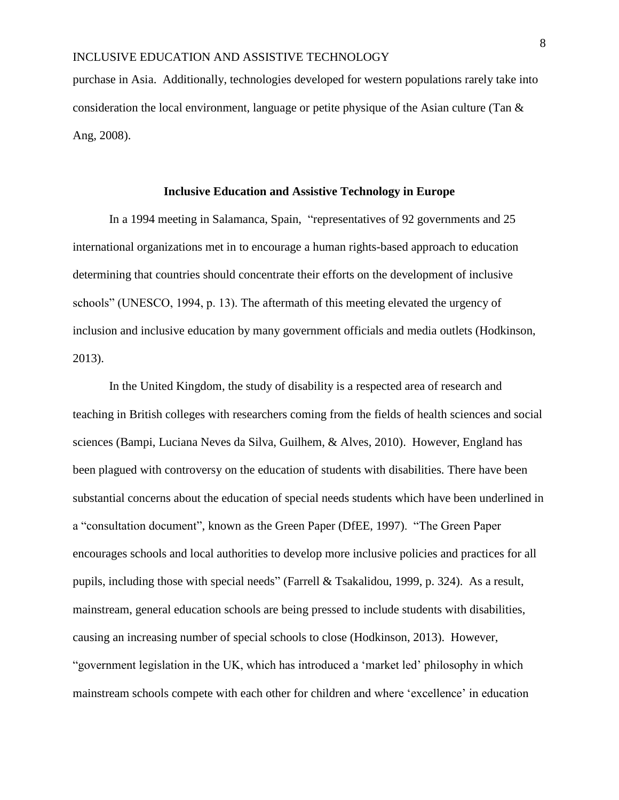purchase in Asia. Additionally, technologies developed for western populations rarely take into consideration the local environment, language or petite physique of the Asian culture (Tan & Ang, 2008).

### **Inclusive Education and Assistive Technology in Europe**

In a 1994 meeting in Salamanca, Spain, "representatives of 92 governments and 25 international organizations met in to encourage a human rights-based approach to education determining that countries should concentrate their efforts on the development of inclusive schools" (UNESCO, 1994, p. 13). The aftermath of this meeting elevated the urgency of inclusion and inclusive education by many government officials and media outlets (Hodkinson, 2013).

In the United Kingdom, the study of disability is a respected area of research and teaching in British colleges with researchers coming from the fields of health sciences and social sciences (Bampi, Luciana Neves da Silva, Guilhem, & Alves, 2010). However, England has been plagued with controversy on the education of students with disabilities. There have been substantial concerns about the education of special needs students which have been underlined in a "consultation document", known as the Green Paper (DfEE, 1997). "The Green Paper encourages schools and local authorities to develop more inclusive policies and practices for all pupils, including those with special needs" (Farrell & Tsakalidou, 1999, p. 324). As a result, mainstream, general education schools are being pressed to include students with disabilities, causing an increasing number of special schools to close (Hodkinson, 2013). However, "government legislation in the UK, which has introduced a 'market led' philosophy in which mainstream schools compete with each other for children and where 'excellence' in education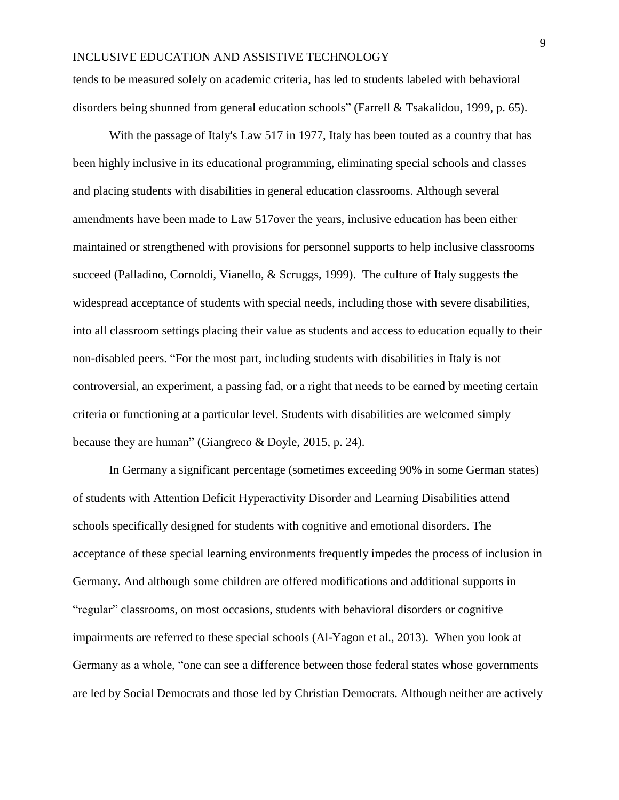tends to be measured solely on academic criteria, has led to students labeled with behavioral disorders being shunned from general education schools" (Farrell & Tsakalidou, 1999, p. 65).

With the passage of Italy's Law 517 in 1977, Italy has been touted as a country that has been highly inclusive in its educational programming, eliminating special schools and classes and placing students with disabilities in general education classrooms. Although several amendments have been made to Law 517over the years, inclusive education has been either maintained or strengthened with provisions for personnel supports to help inclusive classrooms succeed (Palladino, Cornoldi, Vianello, & Scruggs, 1999). The culture of Italy suggests the widespread acceptance of students with special needs, including those with severe disabilities, into all classroom settings placing their value as students and access to education equally to their non-disabled peers. "For the most part, including students with disabilities in Italy is not controversial, an experiment, a passing fad, or a right that needs to be earned by meeting certain criteria or functioning at a particular level. Students with disabilities are welcomed simply because they are human" (Giangreco & Doyle, 2015, p. 24).

In Germany a significant percentage (sometimes exceeding 90% in some German states) of students with Attention Deficit Hyperactivity Disorder and Learning Disabilities attend schools specifically designed for students with cognitive and emotional disorders. The acceptance of these special learning environments frequently impedes the process of inclusion in Germany. And although some children are offered modifications and additional supports in "regular" classrooms, on most occasions, students with behavioral disorders or cognitive impairments are referred to these special schools (Al-Yagon et al., 2013). When you look at Germany as a whole, "one can see a difference between those federal states whose governments are led by Social Democrats and those led by Christian Democrats. Although neither are actively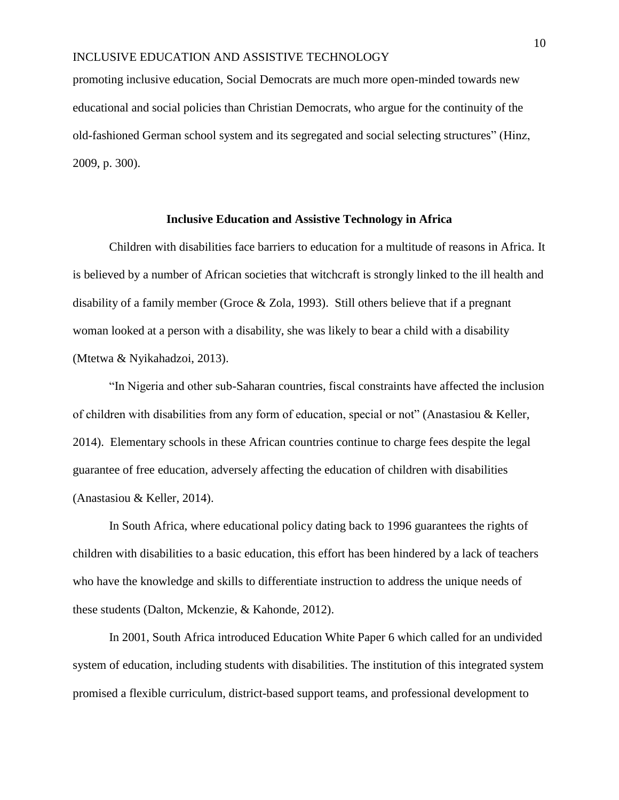promoting inclusive education, Social Democrats are much more open-minded towards new educational and social policies than Christian Democrats, who argue for the continuity of the old-fashioned German school system and its segregated and social selecting structures" (Hinz, 2009, p. 300).

### **Inclusive Education and Assistive Technology in Africa**

Children with disabilities face barriers to education for a multitude of reasons in Africa. It is believed by a number of African societies that witchcraft is strongly linked to the ill health and disability of a family member (Groce & Zola, 1993). Still others believe that if a pregnant woman looked at a person with a disability, she was likely to bear a child with a disability (Mtetwa & Nyikahadzoi, 2013).

"In Nigeria and other sub-Saharan countries, fiscal constraints have affected the inclusion of children with disabilities from any form of education, special or not" (Anastasiou & Keller, 2014). Elementary schools in these African countries continue to charge fees despite the legal guarantee of free education, adversely affecting the education of children with disabilities (Anastasiou & Keller, 2014).

In South Africa, where educational policy dating back to 1996 guarantees the rights of children with disabilities to a basic education, this effort has been hindered by a lack of teachers who have the knowledge and skills to differentiate instruction to address the unique needs of these students (Dalton, Mckenzie, & Kahonde, 2012).

In 2001, South Africa introduced Education White Paper 6 which called for an undivided system of education, including students with disabilities. The institution of this integrated system promised a flexible curriculum, district-based support teams, and professional development to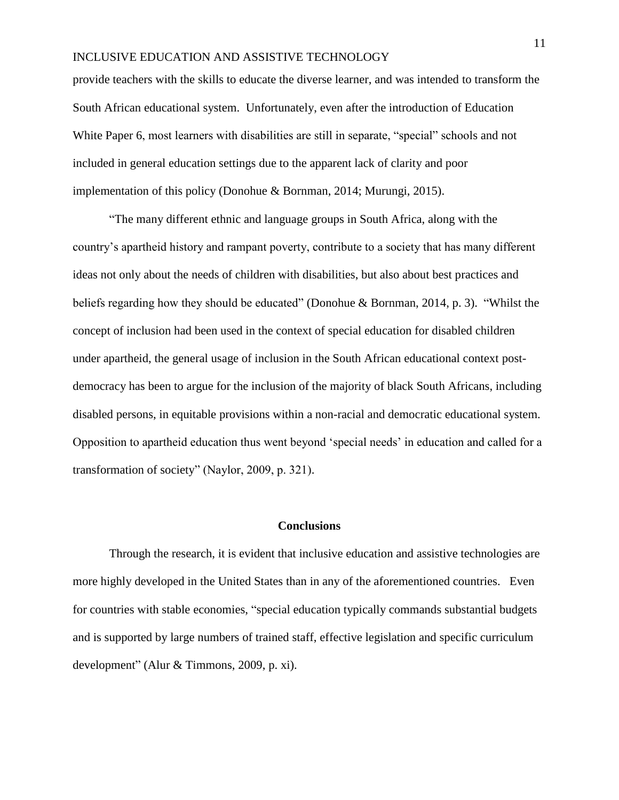provide teachers with the skills to educate the diverse learner, and was intended to transform the South African educational system. Unfortunately, even after the introduction of Education White Paper 6, most learners with disabilities are still in separate, "special" schools and not included in general education settings due to the apparent lack of clarity and poor implementation of this policy (Donohue & Bornman, 2014; Murungi, 2015).

"The many different ethnic and language groups in South Africa, along with the country's apartheid history and rampant poverty, contribute to a society that has many different ideas not only about the needs of children with disabilities, but also about best practices and beliefs regarding how they should be educated" (Donohue & Bornman, 2014, p. 3). "Whilst the concept of inclusion had been used in the context of special education for disabled children under apartheid, the general usage of inclusion in the South African educational context postdemocracy has been to argue for the inclusion of the majority of black South Africans, including disabled persons, in equitable provisions within a non-racial and democratic educational system. Opposition to apartheid education thus went beyond 'special needs' in education and called for a transformation of society" (Naylor, 2009, p. 321).

#### **Conclusions**

Through the research, it is evident that inclusive education and assistive technologies are more highly developed in the United States than in any of the aforementioned countries. Even for countries with stable economies, "special education typically commands substantial budgets and is supported by large numbers of trained staff, effective legislation and specific curriculum development" (Alur & Timmons, 2009, p. xi).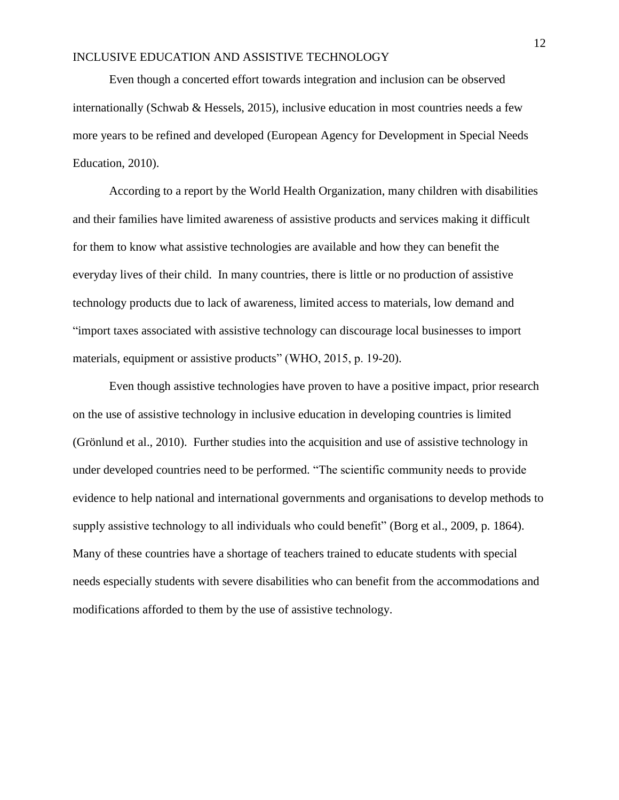Even though a concerted effort towards integration and inclusion can be observed internationally (Schwab & Hessels, 2015), inclusive education in most countries needs a few more years to be refined and developed (European Agency for Development in Special Needs Education, 2010).

According to a report by the World Health Organization, many children with disabilities and their families have limited awareness of assistive products and services making it difficult for them to know what assistive technologies are available and how they can benefit the everyday lives of their child. In many countries, there is little or no production of assistive technology products due to lack of awareness, limited access to materials, low demand and "import taxes associated with assistive technology can discourage local businesses to import materials, equipment or assistive products" (WHO, 2015, p. 19-20).

Even though assistive technologies have proven to have a positive impact, prior research on the use of assistive technology in inclusive education in developing countries is limited (Grönlund et al., 2010). Further studies into the acquisition and use of assistive technology in under developed countries need to be performed. "The scientific community needs to provide evidence to help national and international governments and organisations to develop methods to supply assistive technology to all individuals who could benefit" (Borg et al., 2009, p. 1864). Many of these countries have a shortage of teachers trained to educate students with special needs especially students with severe disabilities who can benefit from the accommodations and modifications afforded to them by the use of assistive technology.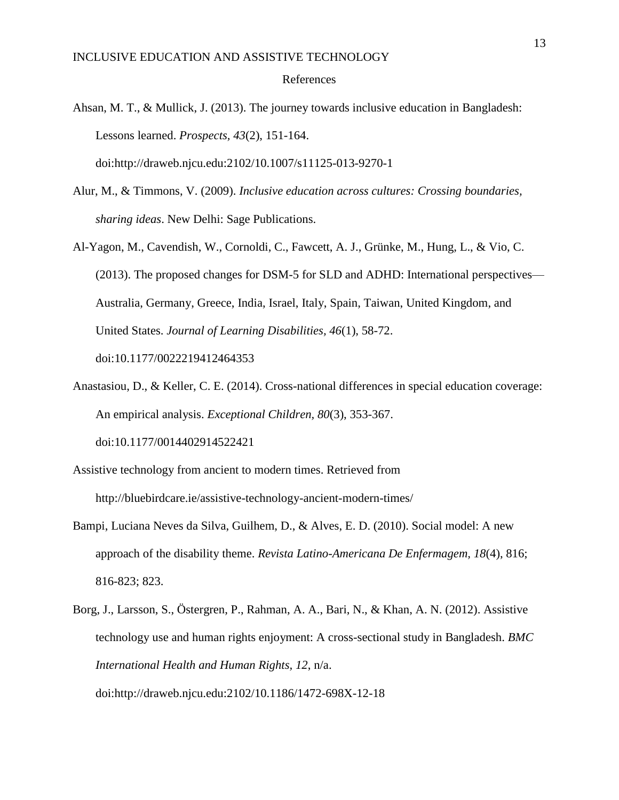#### References

- Ahsan, M. T., & Mullick, J. (2013). The journey towards inclusive education in Bangladesh: Lessons learned. *Prospects, 43*(2), 151-164. doi:http://draweb.njcu.edu:2102/10.1007/s11125-013-9270-1
- Alur, M., & Timmons, V. (2009). *Inclusive education across cultures: Crossing boundaries, sharing ideas*. New Delhi: Sage Publications.
- Al-Yagon, M., Cavendish, W., Cornoldi, C., Fawcett, A. J., Grünke, M., Hung, L., & Vio, C. (2013). The proposed changes for DSM-5 for SLD and ADHD: International perspectives— Australia, Germany, Greece, India, Israel, Italy, Spain, Taiwan, United Kingdom, and United States. *Journal of Learning Disabilities, 46*(1), 58-72. doi:10.1177/0022219412464353
- Anastasiou, D., & Keller, C. E. (2014). Cross-national differences in special education coverage: An empirical analysis. *Exceptional Children, 80*(3), 353-367. doi:10.1177/0014402914522421
- Assistive technology from ancient to modern times. Retrieved from http://bluebirdcare.ie/assistive-technology-ancient-modern-times/
- Bampi, Luciana Neves da Silva, Guilhem, D., & Alves, E. D. (2010). Social model: A new approach of the disability theme. *Revista Latino-Americana De Enfermagem, 18*(4), 816; 816-823; 823.
- Borg, J., Larsson, S., Östergren, P., Rahman, A. A., Bari, N., & Khan, A. N. (2012). Assistive technology use and human rights enjoyment: A cross-sectional study in Bangladesh. *BMC International Health and Human Rights, 12*, n/a. doi:http://draweb.njcu.edu:2102/10.1186/1472-698X-12-18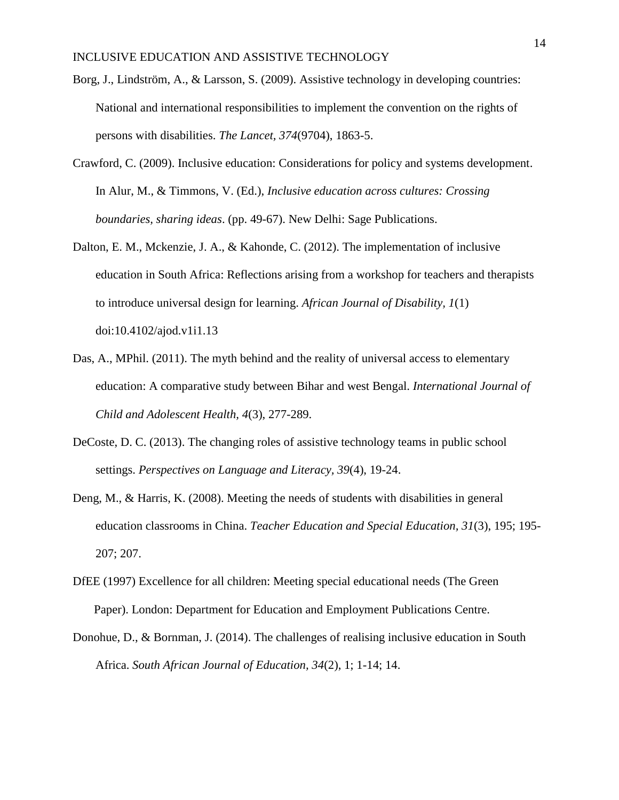- Borg, J., Lindström, A., & Larsson, S. (2009). Assistive technology in developing countries: National and international responsibilities to implement the convention on the rights of persons with disabilities. *The Lancet, 374*(9704), 1863-5.
- Crawford, C. (2009). Inclusive education: Considerations for policy and systems development. In Alur, M., & Timmons, V. (Ed.), *Inclusive education across cultures: Crossing boundaries, sharing ideas*. (pp. 49-67). New Delhi: Sage Publications.
- Dalton, E. M., Mckenzie, J. A., & Kahonde, C. (2012). The implementation of inclusive education in South Africa: Reflections arising from a workshop for teachers and therapists to introduce universal design for learning. *African Journal of Disability, 1*(1) doi:10.4102/ajod.v1i1.13
- Das, A., MPhil. (2011). The myth behind and the reality of universal access to elementary education: A comparative study between Bihar and west Bengal. *International Journal of Child and Adolescent Health, 4*(3), 277-289.
- DeCoste, D. C. (2013). The changing roles of assistive technology teams in public school settings. *Perspectives on Language and Literacy, 39*(4), 19-24.
- Deng, M., & Harris, K. (2008). Meeting the needs of students with disabilities in general education classrooms in China. *Teacher Education and Special Education, 31*(3), 195; 195- 207; 207.
- DfEE (1997) Excellence for all children: Meeting special educational needs (The Green Paper). London: Department for Education and Employment Publications Centre.
- Donohue, D., & Bornman, J. (2014). The challenges of realising inclusive education in South Africa. *South African Journal of Education, 34*(2), 1; 1-14; 14.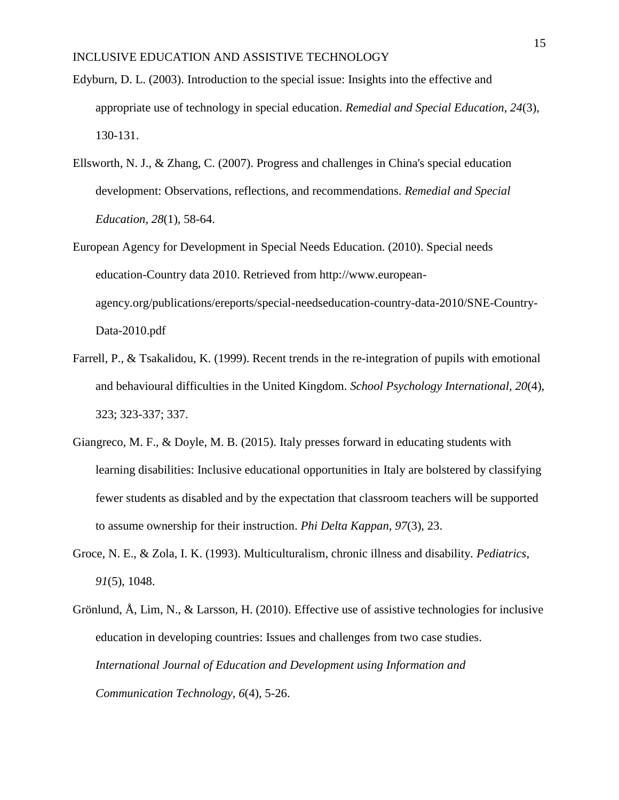- Edyburn, D. L. (2003). Introduction to the special issue: Insights into the effective and appropriate use of technology in special education. *Remedial and Special Education, 24*(3), 130-131.
- Ellsworth, N. J., & Zhang, C. (2007). Progress and challenges in China's special education development: Observations, reflections, and recommendations. *Remedial and Special Education, 28*(1), 58-64.
- European Agency for Development in Special Needs Education. (2010). Special needs education-Country data 2010. Retrieved from http://www.europeanagency.org/publications/ereports/special-needseducation-country-data-2010/SNE-Country-Data-2010.pdf
- Farrell, P., & Tsakalidou, K. (1999). Recent trends in the re-integration of pupils with emotional and behavioural difficulties in the United Kingdom. *School Psychology International, 20*(4), 323; 323-337; 337.
- Giangreco, M. F., & Doyle, M. B. (2015). Italy presses forward in educating students with learning disabilities: Inclusive educational opportunities in Italy are bolstered by classifying fewer students as disabled and by the expectation that classroom teachers will be supported to assume ownership for their instruction. *Phi Delta Kappan, 97*(3), 23.
- Groce, N. E., & Zola, I. K. (1993). Multiculturalism, chronic illness and disability. *Pediatrics, 91*(5), 1048.
- Grönlund, Å, Lim, N., & Larsson, H. (2010). Effective use of assistive technologies for inclusive education in developing countries: Issues and challenges from two case studies. *International Journal of Education and Development using Information and Communication Technology, 6*(4), 5-26.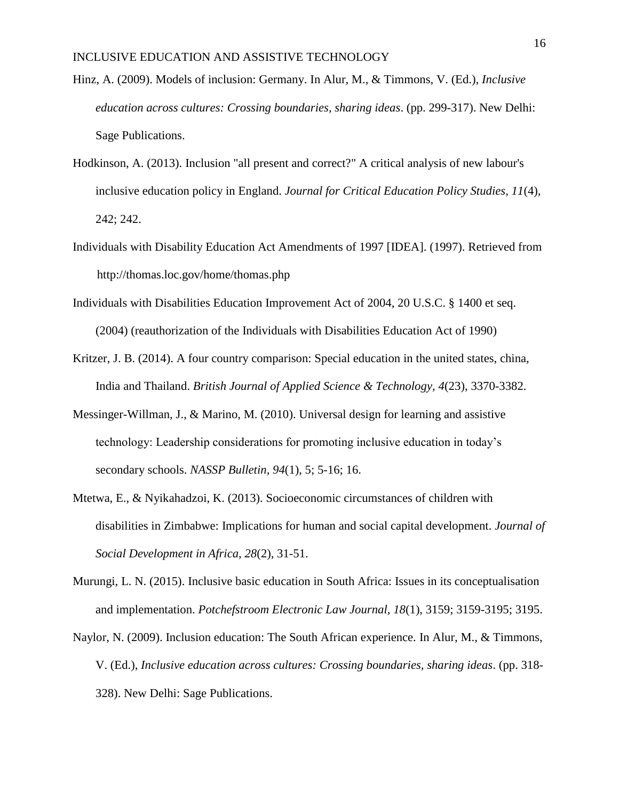- Hinz, A. (2009). Models of inclusion: Germany. In Alur, M., & Timmons, V. (Ed.), *Inclusive education across cultures: Crossing boundaries, sharing ideas*. (pp. 299-317). New Delhi: Sage Publications.
- Hodkinson, A. (2013). Inclusion "all present and correct?" A critical analysis of new labour's inclusive education policy in England. *Journal for Critical Education Policy Studies, 11*(4), 242; 242.
- Individuals with Disability Education Act Amendments of 1997 [IDEA]. (1997). Retrieved from http://thomas.loc.gov/home/thomas.php
- Individuals with Disabilities Education Improvement Act of 2004, 20 U.S.C. § 1400 et seq. (2004) (reauthorization of the Individuals with Disabilities Education Act of 1990)
- Kritzer, J. B. (2014). A four country comparison: Special education in the united states, china, India and Thailand. *British Journal of Applied Science & Technology, 4*(23), 3370-3382.
- Messinger-Willman, J., & Marino, M. (2010). Universal design for learning and assistive technology: Leadership considerations for promoting inclusive education in today's secondary schools. *NASSP Bulletin, 94*(1), 5; 5-16; 16.
- Mtetwa, E., & Nyikahadzoi, K. (2013). Socioeconomic circumstances of children with disabilities in Zimbabwe: Implications for human and social capital development. *Journal of Social Development in Africa, 28*(2), 31-51.
- Murungi, L. N. (2015). Inclusive basic education in South Africa: Issues in its conceptualisation and implementation. *Potchefstroom Electronic Law Journal, 18*(1), 3159; 3159-3195; 3195.
- Naylor, N. (2009). Inclusion education: The South African experience. In Alur, M., & Timmons, V. (Ed.), *Inclusive education across cultures: Crossing boundaries, sharing ideas*. (pp. 318- 328). New Delhi: Sage Publications.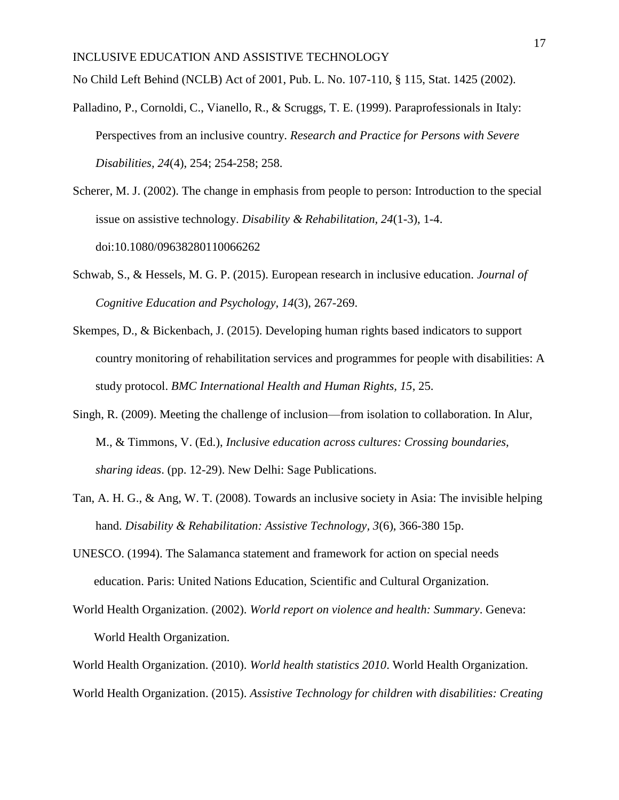No Child Left Behind (NCLB) Act of 2001, Pub. L. No. 107-110, § 115, Stat. 1425 (2002).

- Palladino, P., Cornoldi, C., Vianello, R., & Scruggs, T. E. (1999). Paraprofessionals in Italy: Perspectives from an inclusive country. *Research and Practice for Persons with Severe Disabilities, 24*(4), 254; 254-258; 258.
- Scherer, M. J. (2002). The change in emphasis from people to person: Introduction to the special issue on assistive technology. *Disability & Rehabilitation, 24*(1-3), 1-4. doi:10.1080/09638280110066262
- Schwab, S., & Hessels, M. G. P. (2015). European research in inclusive education. *Journal of Cognitive Education and Psychology, 14*(3), 267-269.
- Skempes, D., & Bickenbach, J. (2015). Developing human rights based indicators to support country monitoring of rehabilitation services and programmes for people with disabilities: A study protocol. *BMC International Health and Human Rights, 15*, 25.
- Singh, R. (2009). Meeting the challenge of inclusion—from isolation to collaboration. In Alur, M., & Timmons, V. (Ed.), *Inclusive education across cultures: Crossing boundaries, sharing ideas*. (pp. 12-29). New Delhi: Sage Publications.
- Tan, A. H. G., & Ang, W. T. (2008). Towards an inclusive society in Asia: The invisible helping hand. *Disability & Rehabilitation: Assistive Technology, 3*(6), 366-380 15p.
- UNESCO. (1994). The Salamanca statement and framework for action on special needs education. Paris: United Nations Education, Scientific and Cultural Organization.
- World Health Organization. (2002). *World report on violence and health: Summary*. Geneva: World Health Organization.

World Health Organization. (2010). *World health statistics 2010*. World Health Organization. World Health Organization. (2015). *Assistive Technology for children with disabilities: Creating*